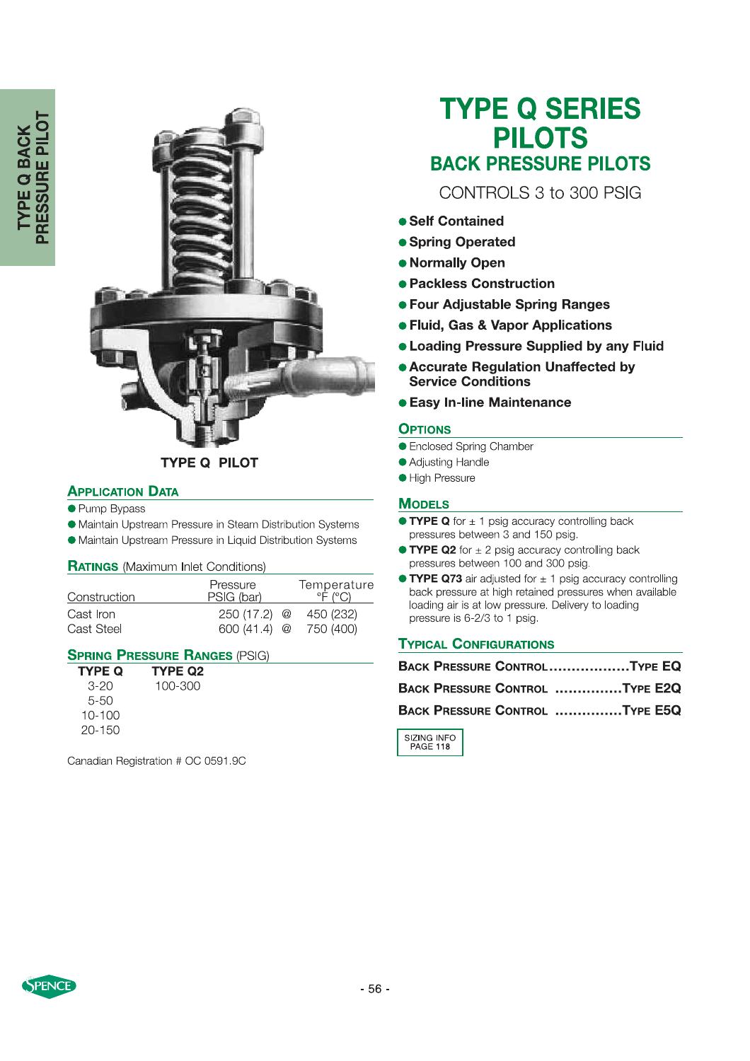

## **TYPE Q PILOT**

### **APPLICATION DATA**

- Pump Bypass
- Maintain Upstream Pressure in Steam Distribution Systems
- Maintain Upstream Pressure in Liquid Distribution Systems

#### **RATINGS** (Maximum Inlet Conditions)

| Construction | Pressure<br>PSIG (bar) | Temperature<br>$^{\circ}$ F ( $^{\circ}$ C) |
|--------------|------------------------|---------------------------------------------|
| Cast Iron    | $250(17.2)$ @          | 450 (232)                                   |
| Cast Steel   | $600(41.4)$ @          | 750 (400)                                   |

#### **SPRING PRESSURE RANGES (PSIG)**

| <b>TYPE Q</b> | <b>TYPE Q2</b> |
|---------------|----------------|
| 3-20          | 100-300        |
| $5 - 50$      |                |
| 10-100        |                |
| 20-150        |                |

Canadian Registration # OC 0591.9C

# **TYPE Q SERIES PILOTS BACK PRESSURE PILOTS**

CONTROLS 3 to 300 PSIG

- Self Contained
- Spring Operated
- Normally Open
- Packless Construction
- Four Adjustable Spring Ranges
- **Fluid, Gas & Vapor Applications**
- **. Loading Pressure Supplied by any Fluid**
- **.** Accurate Regulation Unaffected by **Service Conditions**
- **Easy In-line Maintenance**

#### **OPTIONS**

- Enclosed Spring Chamber
- Adjusting Handle
- **High Pressure**

#### **MODELS**

- $\bullet$  TYPE Q for  $\pm$  1 psig accuracy controlling back pressures between 3 and 150 psig.
- **TYPE Q2** for  $\pm$  2 psig accuracy controlling back pressures between 100 and 300 psig.
- $\bullet$  TYPE Q73 air adjusted for  $\pm$  1 psig accuracy controlling back pressure at high retained pressures when available loading air is at low pressure. Delivery to loading pressure is 6-2/3 to 1 psig.

#### **TYPICAL CONFIGURATIONS**

| BACK PRESSURE CONTROLTYPE EQ   |  |
|--------------------------------|--|
| BACK PRESSURE CONTROL TYPE E2Q |  |
| BACK PRESSURE CONTROL TYPE E5Q |  |

SIZING INFO<br>PAGE 118